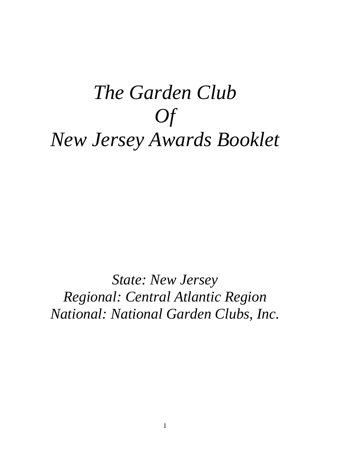# *The Garden Club Of New Jersey Awards Booklet*

*State: New Jersey Regional: Central Atlantic Region National: National Garden Clubs, Inc.*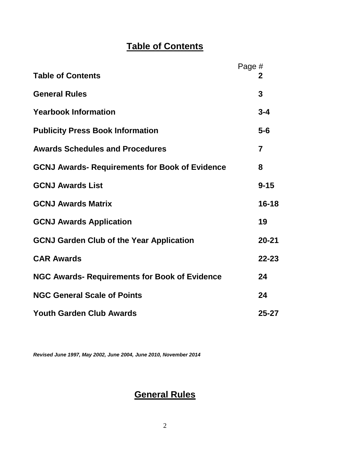# **Table of Contents**

|                                                       | Page #                  |
|-------------------------------------------------------|-------------------------|
| <b>Table of Contents</b>                              | 2                       |
| <b>General Rules</b>                                  | 3                       |
| <b>Yearbook Information</b>                           | $3 - 4$                 |
| <b>Publicity Press Book Information</b>               | $5-6$                   |
| <b>Awards Schedules and Procedures</b>                | $\overline{\mathbf{z}}$ |
| <b>GCNJ Awards- Requirements for Book of Evidence</b> | 8                       |
| <b>GCNJ Awards List</b>                               | $9 - 15$                |
| <b>GCNJ Awards Matrix</b>                             | 16-18                   |
| <b>GCNJ Awards Application</b>                        | 19                      |
| <b>GCNJ Garden Club of the Year Application</b>       | $20 - 21$               |
| <b>CAR Awards</b>                                     | $22 - 23$               |
| <b>NGC Awards-Requirements for Book of Evidence</b>   | 24                      |
| <b>NGC General Scale of Points</b>                    | 24                      |
| <b>Youth Garden Club Awards</b>                       | $25 - 27$               |

*Revised June 1997, May 2002, June 2004, June 2010, November 2014*

# **General Rules**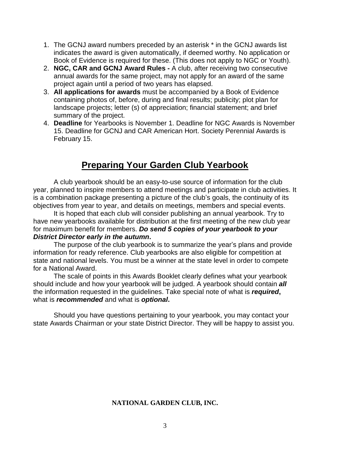- 1. The GCNJ award numbers preceded by an asterisk \* in the GCNJ awards list indicates the award is given automatically, if deemed worthy. No application or Book of Evidence is required for these. (This does not apply to NGC or Youth).
- 2. **NGC, CAR and GCNJ Award Rules** A club, after receiving two consecutive annual awards for the same project, may not apply for an award of the same project again until a period of two years has elapsed.
- 3. **All applications for awards** must be accompanied by a Book of Evidence containing photos of, before, during and final results; publicity; plot plan for landscape projects; letter (s) of appreciation; financial statement; and brief summary of the project.
- 4. **Deadline** for Yearbooks is November 1. Deadline for NGC Awards is November 15. Deadline for GCNJ and CAR American Hort. Society Perennial Awards is February 15.

# **Preparing Your Garden Club Yearbook**

A club yearbook should be an easy-to-use source of information for the club year, planned to inspire members to attend meetings and participate in club activities. It is a combination package presenting a picture of the club's goals, the continuity of its objectives from year to year, and details on meetings, members and special events.

It is hoped that each club will consider publishing an annual yearbook. Try to have new yearbooks available for distribution at the first meeting of the new club year for maximum benefit for members. *Do send 5 copies of your yearbook to your District Director early in the autumn***.** 

The purpose of the club yearbook is to summarize the year's plans and provide information for ready reference. Club yearbooks are also eligible for competition at state and national levels. You must be a winner at the state level in order to compete for a National Award.

The scale of points in this Awards Booklet clearly defines what your yearbook should include and how your yearbook will be judged. A yearbook should contain *all* the information requested in the guidelines. Take special note of what is *required***,**  what is *recommended* and what is *optional***.** 

Should you have questions pertaining to your yearbook, you may contact your state Awards Chairman or your state District Director. They will be happy to assist you.

# **NATIONAL GARDEN CLUB, INC.**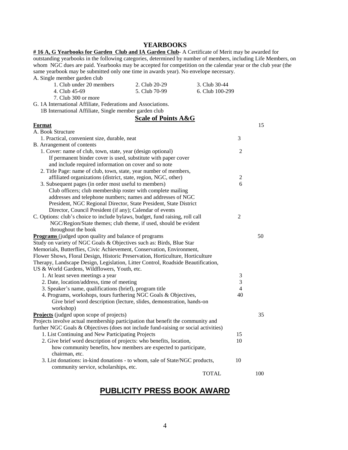#### **YEARBOOKS**

**# 16 A, G Yearbooks for Garden Club and IA Garden Club**- A Certificate of Merit may be awarded for outstanding yearbooks in the following categories, determined by number of members, including Life Members, on whom NGC dues are paid. Yearbooks may be accepted for competition on the calendar year or the club year (the same yearbook may be submitted only one time in awards year). No envelope necessary.  $\Delta$ . Single

| A. Single member garden club                                                                  |                                |                 |                |     |
|-----------------------------------------------------------------------------------------------|--------------------------------|-----------------|----------------|-----|
| 1. Club under 20 members                                                                      | 2. Club 20-29                  | 3. Club 30-44   |                |     |
| 4. Club 45-69                                                                                 | 5. Club 70-99                  | 6. Club 100-299 |                |     |
| 7. Club 300 or more                                                                           |                                |                 |                |     |
| G. 1A International Affiliate, Federations and Associations.                                  |                                |                 |                |     |
| 1B International Affiliate, Single member garden club                                         |                                |                 |                |     |
|                                                                                               | <b>Scale of Points A&amp;G</b> |                 |                |     |
| <b>Format</b>                                                                                 |                                |                 |                | 15  |
| A. Book Structure                                                                             |                                |                 |                |     |
| 1. Practical, convenient size, durable, neat                                                  |                                |                 | 3              |     |
| B. Arrangement of contents                                                                    |                                |                 |                |     |
| 1. Cover: name of club, town, state, year (design optional)                                   |                                |                 | $\overline{c}$ |     |
| If permanent binder cover is used, substitute with paper cover                                |                                |                 |                |     |
| and include required information on cover and so note                                         |                                |                 |                |     |
| 2. Title Page: name of club, town, state, year number of members,                             |                                |                 |                |     |
| affiliated organizations (district, state, region, NGC, other)                                |                                |                 | $\overline{c}$ |     |
| 3. Subsequent pages (in order most useful to members)                                         |                                |                 | 6              |     |
| Club officers; club membership roster with complete mailing                                   |                                |                 |                |     |
| addresses and telephone numbers; names and addresses of NGC                                   |                                |                 |                |     |
| President, NGC Regional Director, State President, State District                             |                                |                 |                |     |
| Director, Council President (if any); Calendar of events                                      |                                |                 |                |     |
| C. Options: club's choice to include bylaws, budget, fund raising, roll call                  |                                |                 | $\overline{c}$ |     |
| NGC/Region/State themes; club theme, if used, should be evident                               |                                |                 |                |     |
| throughout the book                                                                           |                                |                 |                |     |
| <b>Programs</b> (judged upon quality and balance of programs                                  |                                |                 |                | 50  |
| Study on variety of NGC Goals & Objectives such as: Birds, Blue Star                          |                                |                 |                |     |
| Memorials, Butterflies, Civic Achievement, Conservation, Environment,                         |                                |                 |                |     |
| Flower Shows, Floral Design, Historic Preservation, Horticulture, Horticulture                |                                |                 |                |     |
| Therapy, Landscape Design, Legislation, Litter Control, Roadside Beautification,              |                                |                 |                |     |
| US & World Gardens, Wildflowers, Youth, etc.                                                  |                                |                 |                |     |
| 1. At least seven meetings a year                                                             |                                |                 | 3              |     |
| 2. Date, location/address, time of meeting                                                    |                                |                 | 3              |     |
| 3. Speaker's name, qualifications (brief), program title                                      |                                |                 | $\overline{4}$ |     |
| 4. Programs, workshops, tours furthering NGC Goals & Objectives,                              |                                |                 | 40             |     |
| Give brief word description (lecture, slides, demonstration, hands-on                         |                                |                 |                |     |
| workshop)                                                                                     |                                |                 |                |     |
| <b>Projects</b> (judged upon scope of projects)                                               |                                |                 |                | 35  |
| Projects involve actual membership participation that benefit the community and               |                                |                 |                |     |
| further NGC Goals & Objectives (does not include fund-raising or social activities)           |                                |                 |                |     |
| 1. List Continuing and New Participating Projects                                             |                                |                 | 15             |     |
| 2. Give brief word description of projects: who benefits, location,                           |                                |                 | 10             |     |
| how community benefits, how members are expected to participate,                              |                                |                 |                |     |
| chairman, etc.<br>3. List donations: in-kind donations - to whom, sale of State/NGC products, |                                |                 | 10             |     |
|                                                                                               |                                |                 |                |     |
| community service, scholarships, etc.                                                         |                                | <b>TOTAL</b>    |                | 100 |
|                                                                                               |                                |                 |                |     |

# **PUBLICITY PRESS BOOK AWARD**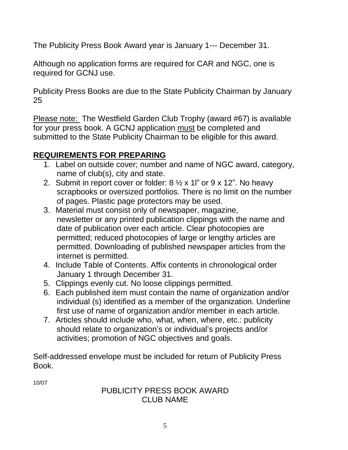The Publicity Press Book Award year is January 1--- December 31.

Although no application forms are required for CAR and NGC, one is required for GCNJ use.

Publicity Press Books are due to the State Publicity Chairman by January 25

Please note: The Westfield Garden Club Trophy (award #67) is available for your press book. A GCNJ application must be completed and submitted to the State Publicity Chairman to be eligible for this award.

# **REQUIREMENTS FOR PREPARING**

- 1. Label on outside cover; number and name of NGC award, category, name of club(s), city and state.
- 2. Submit in report cover or folder:  $8 \frac{1}{2} \times 11$ " or  $9 \times 12$ ". No heavy scrapbooks or oversized portfolios. There is no limit on the number of pages. Plastic page protectors may be used.
- 3. Material must consist only of newspaper, magazine, newsletter or any printed publication clippings with the name and date of publication over each article. Clear photocopies are permitted; reduced photocopies of large or lengthy articles are permitted. Downloading of published newspaper articles from the internet is permitted.
- 4. Include Table of Contents. Affix contents in chronological order January 1 through December 31.
- 5. Clippings evenly cut. No loose clippings permitted.
- 6. Each published item must contain the name of organization and/or individual (s) identified as a member of the organization. Underline first use of name of organization and/or member in each article.
- 7. Articles should include who, what, when, where, etc.: publicity should relate to organization's or individual's projects and/or activities; promotion of NGC objectives and goals.

Self-addressed envelope must be included for return of Publicity Press Book.

10/07

# PUBLICITY PRESS BOOK AWARD CLUB NAME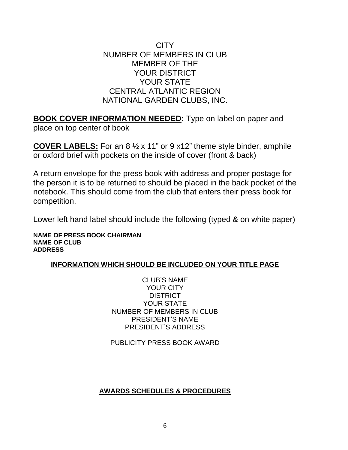CITY NUMBER OF MEMBERS IN CLUB MEMBER OF THE YOUR DISTRICT YOUR STATE CENTRAL ATLANTIC REGION NATIONAL GARDEN CLUBS, INC.

**BOOK COVER INFORMATION NEEDED:** Type on label on paper and place on top center of book

**COVER LABELS:** For an 8 ½ x 11" or 9 x12" theme style binder, amphile or oxford brief with pockets on the inside of cover (front & back)

A return envelope for the press book with address and proper postage for the person it is to be returned to should be placed in the back pocket of the notebook. This should come from the club that enters their press book for competition.

Lower left hand label should include the following (typed & on white paper)

**NAME OF PRESS BOOK CHAIRMAN NAME OF CLUB ADDRESS**

# **INFORMATION WHICH SHOULD BE INCLUDED ON YOUR TITLE PAGE**

CLUB'S NAME YOUR CITY DISTRICT YOUR STATE NUMBER OF MEMBERS IN CLUB PRESIDENT'S NAME PRESIDENT'S ADDRESS

PUBLICITY PRESS BOOK AWARD

# **AWARDS SCHEDULES & PROCEDURES**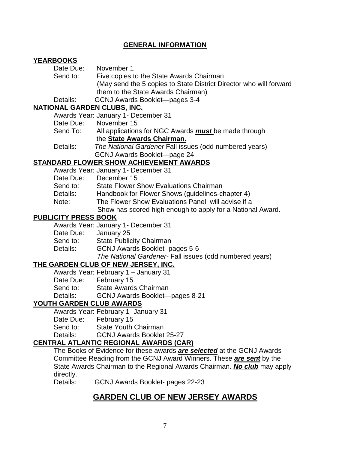# **GENERAL INFORMATION**

# **YEARBOOKS**

| Date Due: | November 1                                                         |
|-----------|--------------------------------------------------------------------|
| Send to:  | Five copies to the State Awards Chairman                           |
|           | (May send the 5 copies to State District Director who will forward |
|           | them to the State Awards Chairman)                                 |
| Details:  | GCNJ Awards Booklet—pages 3-4                                      |

# **NATIONAL GARDEN CLUBS, INC.**

Awards Year: January 1- December 31

- Date Due: November 15
- Send To: All applications for NGC Awards *must* be made through the **State Awards Chairman.**
- Details: *The National Gardener* Fall issues (odd numbered years) GCNJ Awards Booklet—page 24

# **STANDARD FLOWER SHOW ACHIEVEMENT AWARDS**

Awards Year: January 1- December 31

- Date Due: December 15
- Send to: State Flower Show Evaluations Chairman
- Details: Handbook for Flower Shows (guidelines-chapter 4)
- Note: The Flower Show Evaluations Panel will advise if a
	- Show has scored high enough to apply for a National Award.

# **PUBLICITY PRESS BOOK**

|           | Awards Year: January 1- December 31                     |
|-----------|---------------------------------------------------------|
| Date Due: | January 25                                              |
| Send to:  | <b>State Publicity Chairman</b>                         |
| Details:  | GCNJ Awards Booklet- pages 5-6                          |
|           | The National Gardener- Fall issues (odd numbered years) |

# **THE GARDEN CLUB OF NEW JERSEY, INC.**

|                       | Awards Year: February 1 - January 31 |
|-----------------------|--------------------------------------|
| Date Due: February 15 |                                      |
| Send to:              | <b>State Awards Chairman</b>         |
| Details:              | GCNJ Awards Booklet-pages 8-21       |
|                       | <b>ILO ADDENI OLUB AMARDO</b>        |

# **YOUTH GARDEN CLUB AWARDS**

|                       | Awards Year: February 1- January 31 |
|-----------------------|-------------------------------------|
| Date Due: February 15 |                                     |
| Send to:              | <b>State Youth Chairman</b>         |
| Details:              | <b>GCNJ Awards Booklet 25-27</b>    |
|                       |                                     |

# **CENTRAL ATLANTIC REGIONAL AWARDS (CAR)**

The Books of Evidence for these awards *are selected* at the GCNJ Awards Committee Reading from the GCNJ Award Winners. These *are sent* by the State Awards Chairman to the Regional Awards Chairman. *No club* may apply directly.

Details: GCNJ Awards Booklet- pages 22-23

# **GARDEN CLUB OF NEW JERSEY AWARDS**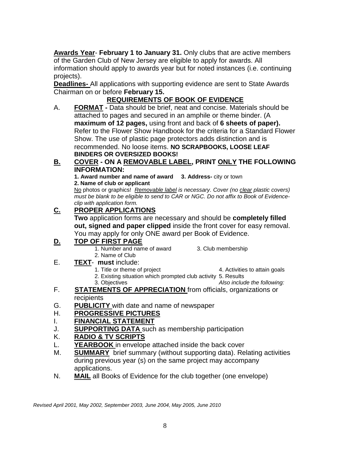**Awards Year**- **February 1 to January 31.** Only clubs that are active members of the Garden Club of New Jersey are eligible to apply for awards. All information should apply to awards year but for noted instances (i.e. continuing projects).

**Deadlines-** All applications with supporting evidence are sent to State Awards Chairman on or before **February 15.** 

# **REQUIREMENTS OF BOOK OF EVIDENCE**

A. **FORMAT -** Data should be brief, neat and concise. Materials should be attached to pages and secured in an amphile or theme binder. (A **maximum of 12 pages,** using front and back of **6 sheets of paper).** Refer to the Flower Show Handbook for the criteria for a Standard Flower Show. The use of plastic page protectors adds distinction and is recommended. No loose items. **NO SCRAPBOOKS, LOOSE LEAF BINDERS OR OVERSIZED BOOKS!**

# **B. COVER - ON A REMOVABLE LABEL, PRINT ONLY THE FOLLOWING INFORMATION:**

**1. Award number and name of award 3. Address-** city or town **2. Name of club or applicant**

No photos or graphics! *Removable label is necessary. Cover (no clear plastic covers) must be blank to be eligible to send to CAR or NGC. Do not affix to Book of Evidenceclip with application form.*

# **C. PROPER APPLICATIONS**

**Two** application forms are necessary and should be **completely filled out, signed and paper clipped** inside the front cover for easy removal. You may apply for only ONE award per Book of Evidence.

# **D. TOP OF FIRST PAGE**

- 1. Number and name of award 3. Club membership 2. Name of Club
- E. **TEXT must** include:
	-
	- 1. Title or theme of project 1. Title or theme of project 4. Activities to attain goals
	- 2. Existing situation which prompted club activity 5. Results

3. Objectives *Also include the following:* 

- F. **STATEMENTS OF APPRECIATION** from officials, organizations or recipients
- G. **PUBLICITY** with date and name of newspaper

# H. **PROGRESSIVE PICTURES**

- I. **FINANCIAL STATEMENT**
- J. **SUPPORTING DATA** such as membership participation

# K. **RADIO & TV SCRIPTS**

- L. **YEARBOOK** in envelope attached inside the back cover
- M. **SUMMARY** brief summary (without supporting data). Relating activities during previous year (s) on the same project may accompany applications.
- N. **MAIL** all Books of Evidence for the club together (one envelope)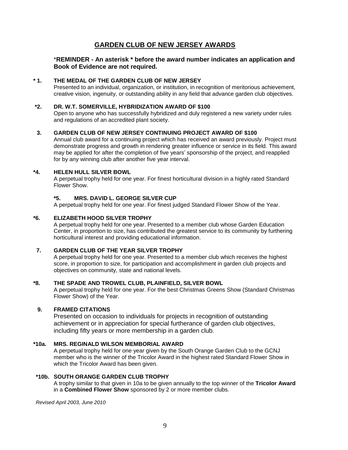# **GARDEN CLUB OF NEW JERSEY AWARDS**

#### \***REMINDER - An asterisk \* before the award number indicates an application and Book of Evidence are not required.**

#### **\* 1. THE MEDAL OF THE GARDEN CLUB OF NEW JERSEY**

Presented to an individual, organization, or institution, in recognition of meritorious achievement, creative vision, ingenuity, or outstanding ability in any field that advance garden club objectives.

#### **\*2. DR. W.T. SOMERVILLE, HYBRIDIZATION AWARD OF \$100**

Open to anyone who has successfully hybridized and duly registered a new variety under rules and regulations of an accredited plant society.

#### **3. GARDEN CLUB OF NEW JERSEY CONTINUING PROJECT AWARD OF \$100**

Annual club award for a continuing project which has received an award previously. Project must demonstrate progress and growth in rendering greater influence or service in its field. This award may be applied for after the completion of five years' sponsorship of the project, and reapplied for by any winning club after another five year interval.

#### **\*4. HELEN HULL SILVER BOWL**

A perpetual trophy held for one year. For finest horticultural division in a highly rated Standard Flower Show.

#### **\*5. MRS. DAVID L. GEORGE SILVER CUP**

A perpetual trophy held for one year. For finest judged Standard Flower Show of the Year.

#### **\*6. ELIZABETH HOOD SILVER TROPHY**

A perpetual trophy held for one year. Presented to a member club whose Garden Education Center, in proportion to size, has contributed the greatest service to its community by furthering horticultural interest and providing educational information.

#### **7. GARDEN CLUB OF THE YEAR SILVER TROPHY**

A perpetual trophy held for one year. Presented to a member club which receives the highest score, in proportion to size, for participation and accomplishment in garden club projects and objectives on community, state and national levels.

#### **\*8. THE SPADE AND TROWEL CLUB, PLAINFIELD, SILVER BOWL**

A perpetual trophy held for one year. For the best Christmas Greens Show (Standard Christmas Flower Show) of the Year.

#### **9. FRAMED CITATIONS**

Presented on occasion to individuals for projects in recognition of outstanding achievement or in appreciation for special furtherance of garden club objectives, including fifty years or more membership in a garden club.

#### **\*10a. MRS. REGINALD WILSON MEMBORIAL AWARD**

A perpetual trophy held for one year given by the South Orange Garden Club to the GCNJ member who is the winner of the Tricolor Award in the highest rated Standard Flower Show in which the Tricolor Award has been given.

#### **\*10b. SOUTH ORANGE GARDEN CLUB TROPHY**

A trophy similar to that given in 10a to be given annually to the top winner of the **Tricolor Award** in a **Combined Flower Show** sponsored by 2 or more member clubs.

*Revised April 2003, June 2010*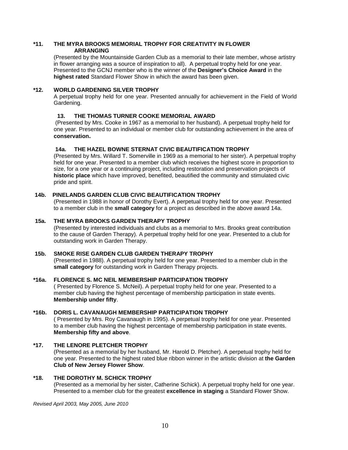#### **\*11. THE MYRA BROOKS MEMORIAL TROPHY FOR CREATIVITY IN FLOWER ARRANGING**

(Presented by the Mountainside Garden Club as a memorial to their late member, whose artistry in flower arranging was a source of inspiration to all). A perpetual trophy held for one year. Presented to the GCNJ member who is the winner of the **Designer's Choice Award** in the **highest rated** Standard Flower Show in which the award has been given.

#### **\*12. WORLD GARDENING SILVER TROPHY**

A perpetual trophy held for one year. Presented annually for achievement in the Field of World Gardening.

#### **13. THE THOMAS TURNER COOKE MEMORIAL AWARD**

(Presented by Mrs. Cooke in 1967 as a memorial to her husband). A perpetual trophy held for one year. Presented to an individual or member club for outstanding achievement in the area of **conservation.**

#### **14a. THE HAZEL BOWNE STERNAT CIVIC BEAUTIFICATION TROPHY**

(Presented by Mrs. Willard T. Somerville in 1969 as a memorial to her sister). A perpetual trophy held for one year. Presented to a member club which receives the highest score in proportion to size, for a one year or a continuing project, including restoration and preservation projects of **historic place** which have improved, benefited, beautified the community and stimulated civic pride and spirit.

#### **14b. PINELANDS GARDEN CLUB CIVIC BEAUTIFICATION TROPHY**

(Presented in 1988 in honor of Dorothy Evert). A perpetual trophy held for one year. Presented to a member club in the **small category** for a project as described in the above award 14a.

#### **15a. THE MYRA BROOKS GARDEN THERAPY TROPHY**

(Presented by interested individuals and clubs as a memorial to Mrs. Brooks great contribution to the cause of Garden Therapy). A perpetual trophy held for one year. Presented to a club for outstanding work in Garden Therapy.

#### **15b. SMOKE RISE GARDEN CLUB GARDEN THERAPY TROPHY**

(Presented in 1988). A perpetual trophy held for one year. Presented to a member club in the **small category** for outstanding work in Garden Therapy projects.

#### **\*16a. FLORENCE S. MC NEIL MEMBERSHIP PARTICIPATION TROPHY**

( Presented by Florence S. McNeil). A perpetual trophy held for one year. Presented to a member club having the highest percentage of membership participation in state events. **Membership under fifty**.

#### **\*16b. DORIS L. CAVANAUGH MEMBERSHIP PARTICIPATION TROPHY**

( Presented by Mrs. Roy Cavanaugh in 1995). A perpetual trophy held for one year. Presented to a member club having the highest percentage of membership participation in state events. **Membership fifty and above**.

#### **\*17. THE LENORE PLETCHER TROPHY**

(Presented as a memorial by her husband, Mr. Harold D. Pletcher). A perpetual trophy held for one year. Presented to the highest rated blue ribbon winner in the artistic division at **the Garden Club of New Jersey Flower Show**.

#### **\*18. THE DOROTHY M. SCHICK TROPHY**

(Presented as a memorial by her sister, Catherine Schick). A perpetual trophy held for one year. Presented to a member club for the greatest **excellence in staging** a Standard Flower Show.

*Revised April 2003, May 2005, June 2010*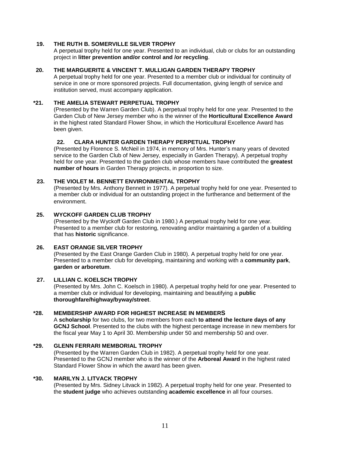#### **19. THE RUTH B. SOMERVILLE SILVER TROPHY**

A perpetual trophy held for one year. Presented to an individual, club or clubs for an outstanding project in **litter prevention and/or control and /or recycling**.

#### **20. THE MARGUERITE & VINCENT T. MULLIGAN GARDEN THERAPY TROPHY**

A perpetual trophy held for one year. Presented to a member club or individual for continuity of service in one or more sponsored projects. Full documentation, giving length of service and institution served, must accompany application.

#### **\*21. THE AMELIA STEWART PERPETUAL TROPHY**

(Presented by the Warren Garden Club). A perpetual trophy held for one year. Presented to the Garden Club of New Jersey member who is the winner of the **Horticultural Excellence Award** in the highest rated Standard Flower Show, in which the Horticultural Excellence Award has been given.

#### **22. CLARA HUNTER GARDEN THERAPY PERPETUAL TROPHY**

(Presented by Florence S. McNeil in 1974, in memory of Mrs. Hunter's many years of devoted service to the Garden Club of New Jersey, especially in Garden Therapy). A perpetual trophy held for one year. Presented to the garden club whose members have contributed the **greatest number of hours** in Garden Therapy projects, in proportion to size.

#### **23. THE VIOLET M. BENNETT ENVIRONMENTAL TROPHY**

(Presented by Mrs. Anthony Bennett in 1977). A perpetual trophy held for one year. Presented to a member club or individual for an outstanding project in the furtherance and betterment of the environment.

#### **25. WYCKOFF GARDEN CLUB TROPHY**

(Presented by the Wyckoff Garden Club in 1980.) A perpetual trophy held for one year. Presented to a member club for restoring, renovating and/or maintaining a garden of a building that has **historic** significance.

#### **26. EAST ORANGE SILVER TROPHY**

(Presented by the East Orange Garden Club in 1980). A perpetual trophy held for one year. Presented to a member club for developing, maintaining and working with a **community park**, **garden or arboretum**.

#### **27. LILLIAN C. KOELSCH TROPHY**

(Presented by Mrs. John C. Koelsch in 1980). A perpetual trophy held for one year. Presented to a member club or individual for developing, maintaining and beautifying a **public thoroughfare/highway/byway/street**.

#### **\*28. MEMBERSHIP AWARD FOR HIGHEST INCREASE IN MEMBERS**

A **scholarship** for two clubs, for two members from each **to attend the lecture days of any GCNJ School**. Presented to the clubs with the highest percentage increase in new members for the fiscal year May 1 to April 30. Membership under 50 and membership 50 and over.

#### **\*29. GLENN FERRARI MEMBORIAL TROPHY**

(Presented by the Warren Garden Club in 1982). A perpetual trophy held for one year. Presented to the GCNJ member who is the winner of the **Arboreal Award** in the highest rated Standard Flower Show in which the award has been given.

#### **\*30. MARILYN J. LITVACK TROPHY**

(Presented by Mrs. Sidney Litvack in 1982). A perpetual trophy held for one year. Presented to the **student judge** who achieves outstanding **academic excellence** in all four courses.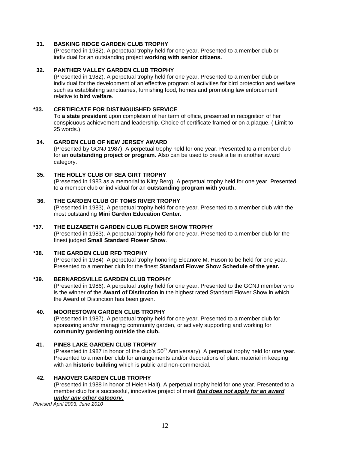#### **31. BASKING RIDGE GARDEN CLUB TROPHY**

(Presented in 1982). A perpetual trophy held for one year. Presented to a member club or individual for an outstanding project **working with senior citizens.**

#### **32. PANTHER VALLEY GARDEN CLUB TROPHY**

(Presented in 1982). A perpetual trophy held for one year. Presented to a member club or individual for the development of an effective program of activities for bird protection and welfare such as establishing sanctuaries, furnishing food, homes and promoting law enforcement relative to **bird welfare**.

#### **\*33. CERTIFICATE FOR DISTINGUISHED SERVICE**

To **a state president** upon completion of her term of office, presented in recognition of her conspicuous achievement and leadership. Choice of certificate framed or on a plaque. ( Limit to 25 words.)

#### **34. GARDEN CLUB OF NEW JERSEY AWARD**

(Presented by GCNJ 1987). A perpetual trophy held for one year. Presented to a member club for an **outstanding project or program**. Also can be used to break a tie in another award category.

#### **35. THE HOLLY CLUB OF SEA GIRT TROPHY**

(Presented in 1983 as a memorial to Kitty Berg). A perpetual trophy held for one year. Presented to a member club or individual for an **outstanding program with youth.**

#### **36. THE GARDEN CLUB OF TOMS RIVER TROPHY**

(Presented in 1983). A perpetual trophy held for one year. Presented to a member club with the most outstanding **Mini Garden Education Center.**

#### **\*37. THE ELIZABETH GARDEN CLUB FLOWER SHOW TROPHY**

(Presented in 1983). A perpetual trophy held for one year. Presented to a member club for the finest judged **Small Standard Flower Show**.

#### **\*38. THE GARDEN CLUB RFD TROPHY**

(Presented in 1984) A perpetual trophy honoring Eleanore M. Huson to be held for one year. Presented to a member club for the finest **Standard Flower Show Schedule of the year.** 

#### **\*39. BERNARDSVILLE GARDEN CLUB TROPHY**

(Presented in 1986). A perpetual trophy held for one year. Presented to the GCNJ member who is the winner of the **Award of Distinction** in the highest rated Standard Flower Show in which the Award of Distinction has been given.

#### **40. MOORESTOWN GARDEN CLUB TROPHY**

(Presented in 1987). A perpetual trophy held for one year. Presented to a member club for sponsoring and/or managing community garden, or actively supporting and working for **community gardening outside the club.**

#### **41. PINES LAKE GARDEN CLUB TROPHY**

(Presented in 1987 in honor of the club's  $50<sup>th</sup>$  Anniversary). A perpetual trophy held for one year. Presented to a member club for arrangements and/or decorations of plant material in keeping with an **historic building** which is public and non-commercial.

#### **42. HANOVER GARDEN CLUB TROPHY**

(Presented in 1988 in honor of Helen Hait). A perpetual trophy held for one year. Presented to a member club for a successful, innovative project of merit *that does not apply for an award*

# *under any other category.*

*Revised April 2003, June 2010*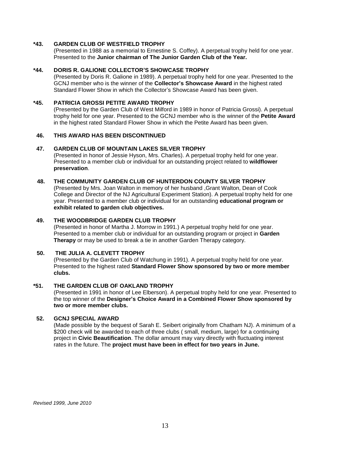#### **\*43. GARDEN CLUB OF WESTFIELD TROPHY**

(Presented in 1988 as a memorial to Ernestine S. Coffey). A perpetual trophy held for one year. Presented to the **Junior chairman of The Junior Garden Club of the Year.**

#### **\*44. DORIS R. GALIONE COLLECTOR'S SHOWCASE TROPHY**

(Presented by Doris R. Galione in 1989). A perpetual trophy held for one year. Presented to the GCNJ member who is the winner of the **Collector's Showcase Award** in the highest rated Standard Flower Show in which the Collector's Showcase Award has been given.

#### **\*45. PATRICIA GROSSI PETITE AWARD TROPHY**

(Presented by the Garden Club of West Milford in 1989 in honor of Patricia Grossi). A perpetual trophy held for one year. Presented to the GCNJ member who is the winner of the **Petite Award** in the highest rated Standard Flower Show in which the Petite Award has been given.

#### **46. THIS AWARD HAS BEEN DISCONTINUED**

#### **47. GARDEN CLUB OF MOUNTAIN LAKES SILVER TROPHY**

(Presented in honor of Jessie Hyson, Mrs. Charles). A perpetual trophy held for one year. Presented to a member club or individual for an outstanding project related to **wildflower preservation**.

#### **48. THE COMMUNITY GARDEN CLUB OF HUNTERDON COUNTY SILVER TROPHY**

(Presented by Mrs. Joan Walton in memory of her husband ,Grant Walton, Dean of Cook College and Director of the NJ Agricultural Experiment Station). A perpetual trophy held for one year. Presented to a member club or individual for an outstanding **educational program or exhibit related to garden club objectives.** 

#### **49. THE WOODBRIDGE GARDEN CLUB TROPHY**

(Presented in honor of Martha J. Morrow in 1991.) A perpetual trophy held for one year. Presented to a member club or individual for an outstanding program or project in **Garden Therapy** or may be used to break a tie in another Garden Therapy category.

#### **50. THE JULIA A. CLEVETT TROPHY**

(Presented by the Garden Club of Watchung in 1991). A perpetual trophy held for one year. Presented to the highest rated **Standard Flower Show sponsored by two or more member clubs.**

#### **\*51. THE GARDEN CLUB OF OAKLAND TROPHY**

(Presented in 1991 in honor of Lee Elberson). A perpetual trophy held for one year. Presented to the top winner of the **Designer's Choice Award in a Combined Flower Show sponsored by two or more member clubs.**

#### **52. GCNJ SPECIAL AWARD**

(Made possible by the bequest of Sarah E. Seibert originally from Chatham NJ). A minimum of a \$200 check will be awarded to each of three clubs ( small, medium, large) for a continuing project in **Civic Beautification**. The dollar amount may vary directly with fluctuating interest rates in the future. The **project must have been in effect for two years in June.**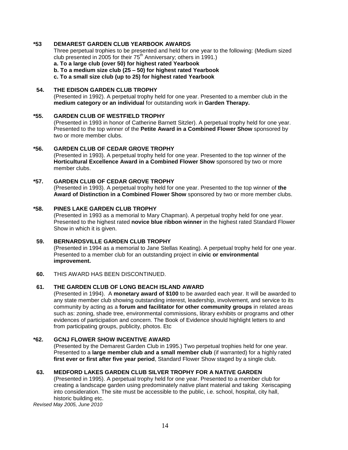#### **\*53 DEMAREST GARDEN CLUB YEARBOOK AWARDS**

Three perpetual trophies to be presented and held for one year to the following: (Medium sized club presented in 2005 for their 75<sup>th</sup> Anniversary; others in 1991.)

**a. To a large club (over 50) for highest rated Yearbook**

**b. To a medium size club (25 – 50) for highest rated Yearbook**

**c. To a small size club (up to 25) for highest rated Yearbook**

#### **54. THE EDISON GARDEN CLUB TROPHY**

(Presented in 1992). A perpetual trophy held for one year. Presented to a member club in the **medium category or an individual** for outstanding work in **Garden Therapy.**

#### **\*55. GARDEN CLUB OF WESTFIELD TROPHY**

(Presented in 1993 in honor of Catherine Barnett Sitzler). A perpetual trophy held for one year. Presented to the top winner of the **Petite Award in a Combined Flower Show** sponsored by two or more member clubs.

#### **\*56. GARDEN CLUB OF CEDAR GROVE TROPHY**

(Presented in 1993). A perpetual trophy held for one year. Presented to the top winner of the **Horticultural Excellence Award in a Combined Flower Show** sponsored by two or more member clubs.

#### **\*57. GARDEN CLUB OF CEDAR GROVE TROPHY**

(Presented in 1993). A perpetual trophy held for one year. Presented to the top winner of **the Award of Distinction in a Combined Flower Show** sponsored by two or more member clubs.

#### **\*58. PINES LAKE GARDEN CLUB TROPHY**

(Presented in 1993 as a memorial to Mary Chapman). A perpetual trophy held for one year. Presented to the highest rated **novice blue ribbon winner** in the highest rated Standard Flower Show in which it is given.

#### **59. BERNARDSVILLE GARDEN CLUB TROPHY**

(Presented in 1994 as a memorial to Jane Stellas Keating). A perpetual trophy held for one year. Presented to a member club for an outstanding project in **civic or environmental improvement.**

#### **60.** THIS AWARD HAS BEEN DISCONTINUED.

#### **61. THE GARDEN CLUB OF LONG BEACH ISLAND AWARD**

(Presented in 1994). A **monetary award of \$100** to be awarded each year. It will be awarded to any state member club showing outstanding interest, leadership, involvement, and service to its community by acting as a **forum and facilitator for other community groups** in related areas such as: zoning, shade tree, environmental commissions, library exhibits or programs and other evidences of participation and concern. The Book of Evidence should highlight letters to and from participating groups, publicity, photos. Etc

#### **\*62. GCNJ FLOWER SHOW INCENTIVE AWARD**

(Presented by the Demarest Garden Club in 1995.) Two perpetual trophies held for one year. Presented to a **large member club and a small member club** (if warranted) for a highly rated **first ever or first after five year period**, Standard Flower Show staged by a single club.

#### **63. MEDFORD LAKES GARDEN CLUB SILVER TROPHY FOR A NATIVE GARDEN**

(Presented in 1995). A perpetual trophy held for one year. Presented to a member club for creating a landscape garden using predominately native plant material and taking Xeriscaping into consideration. The site must be accessible to the public, i.e. school, hospital, city hall, historic building etc.

*Revised May 2005, June 2010*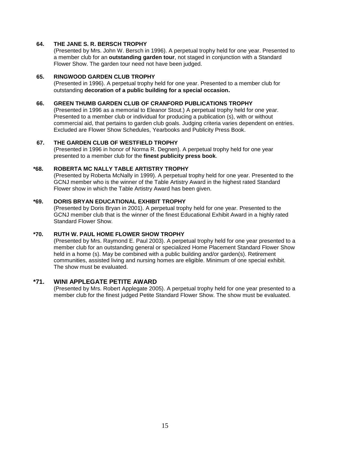#### **64. THE JANE S. R. BERSCH TROPHY**

(Presented by Mrs. John W. Bersch in 1996). A perpetual trophy held for one year. Presented to a member club for an **outstanding garden tour**, not staged in conjunction with a Standard Flower Show. The garden tour need not have been judged.

#### **65. RINGWOOD GARDEN CLUB TROPHY**

(Presented in 1996). A perpetual trophy held for one year. Presented to a member club for outstanding **decoration of a public building for a special occasion.**

#### **66. GREEN THUMB GARDEN CLUB OF CRANFORD PUBLICATIONS TROPHY**

(Presented in 1996 as a memorial to Eleanor Stout.) A perpetual trophy held for one year. Presented to a member club or individual for producing a publication (s), with or without commercial aid, that pertains to garden club goals. Judging criteria varies dependent on entries. Excluded are Flower Show Schedules, Yearbooks and Publicity Press Book.

#### **67. THE GARDEN CLUB OF WESTFIELD TROPHY**

(Presented in 1996 in honor of Norma R. Degnen). A perpetual trophy held for one year presented to a member club for the **finest publicity press book**.

#### **\*68. ROBERTA MC NALLY TABLE ARTISTRY TROPHY**

(Presented by Roberta McNally in 1999). A perpetual trophy held for one year. Presented to the GCNJ member who is the winner of the Table Artistry Award in the highest rated Standard Flower show in which the Table Artistry Award has been given.

#### **\*69. DORIS BRYAN EDUCATIONAL EXHIBIT TROPHY**

(Presented by Doris Bryan in 2001). A perpetual trophy held for one year. Presented to the GCNJ member club that is the winner of the finest Educational Exhibit Award in a highly rated Standard Flower Show.

#### **\*70. RUTH W. PAUL HOME FLOWER SHOW TROPHY**

(Presented by Mrs. Raymond E. Paul 2003). A perpetual trophy held for one year presented to a member club for an outstanding general or specialized Home Placement Standard Flower Show held in a home (s). May be combined with a public building and/or garden(s). Retirement communities, assisted living and nursing homes are eligible. Minimum of one special exhibit. The show must be evaluated.

#### **\*71. WINI APPLEGATE PETITE AWARD**

(Presented by Mrs. Robert Applegate 2005). A perpetual trophy held for one year presented to a member club for the finest judged Petite Standard Flower Show. The show must be evaluated.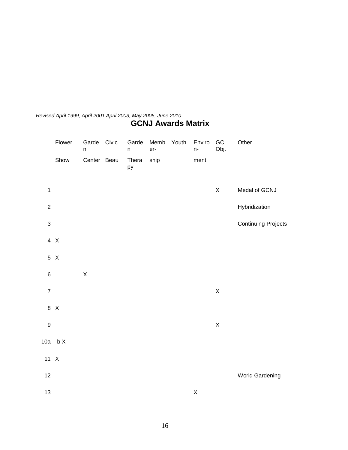# *Revised April 1999, April 2001,April 2003, May 2005, June 2010* **GCNJ Awards Matrix**

|                           | Flower     | Garde<br>n  | Civic | Garde<br>$\sf n$ | Memb<br>er- | Youth | Enviro<br>n- | GC<br>Obj.  | Other                      |
|---------------------------|------------|-------------|-------|------------------|-------------|-------|--------------|-------------|----------------------------|
|                           | Show       | Center Beau |       | Thera<br>ру      | ship        |       | ment         |             |                            |
| $\mathbf 1$               |            |             |       |                  |             |       |              | $\mathsf X$ | Medal of GCNJ              |
| $\overline{2}$            |            |             |       |                  |             |       |              |             | Hybridization              |
| $\ensuremath{\mathsf{3}}$ |            |             |       |                  |             |       |              |             | <b>Continuing Projects</b> |
|                           | 4 X        |             |       |                  |             |       |              |             |                            |
|                           | 5 X        |             |       |                  |             |       |              |             |                            |
| $\,6$                     |            | $\mathsf X$ |       |                  |             |       |              |             |                            |
| $\boldsymbol{7}$          |            |             |       |                  |             |       |              | $\mathsf X$ |                            |
|                           | 8 X        |             |       |                  |             |       |              |             |                            |
| $\boldsymbol{9}$          |            |             |       |                  |             |       |              | $\mathsf X$ |                            |
|                           | 10a - $bX$ |             |       |                  |             |       |              |             |                            |
| $11 \t X$                 |            |             |       |                  |             |       |              |             |                            |
| 12                        |            |             |       |                  |             |       |              |             | World Gardening            |
| 13                        |            |             |       |                  |             |       | $\mathsf X$  |             |                            |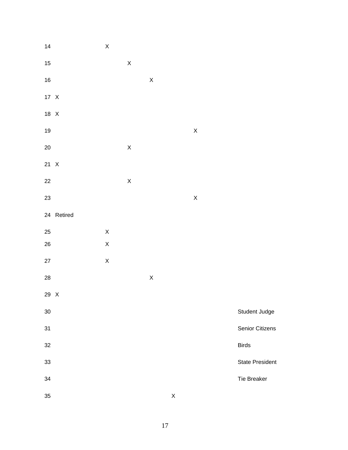| 14     |            | $\mathsf X$ |             |                    |             |                    |                        |
|--------|------------|-------------|-------------|--------------------|-------------|--------------------|------------------------|
| 15     |            |             | $\mathsf X$ |                    |             |                    |                        |
| 16     |            |             |             | $\mathsf X$        |             |                    |                        |
| 17 X   |            |             |             |                    |             |                    |                        |
| 18 X   |            |             |             |                    |             |                    |                        |
| 19     |            |             |             |                    |             | $\pmb{\mathsf{X}}$ |                        |
| $20\,$ |            |             | $\mathsf X$ |                    |             |                    |                        |
| 21 X   |            |             |             |                    |             |                    |                        |
| 22     |            |             | $\mathsf X$ |                    |             |                    |                        |
| 23     |            |             |             |                    |             | $\mathsf X$        |                        |
|        | 24 Retired |             |             |                    |             |                    |                        |
| 25     |            | $\mathsf X$ |             |                    |             |                    |                        |
| 26     |            | $\mathsf X$ |             |                    |             |                    |                        |
| 27     |            | $\mathsf X$ |             |                    |             |                    |                        |
| 28     |            |             |             | $\mathsf{X}% _{0}$ |             |                    |                        |
| 29 X   |            |             |             |                    |             |                    |                        |
| 30     |            |             |             |                    |             |                    | Student Judge          |
| 31     |            |             |             |                    |             |                    | Senior Citizens        |
| 32     |            |             |             |                    |             |                    | <b>Birds</b>           |
| 33     |            |             |             |                    |             |                    | <b>State President</b> |
| 34     |            |             |             |                    |             |                    | Tie Breaker            |
| 35     |            |             |             |                    | $\mathsf X$ |                    |                        |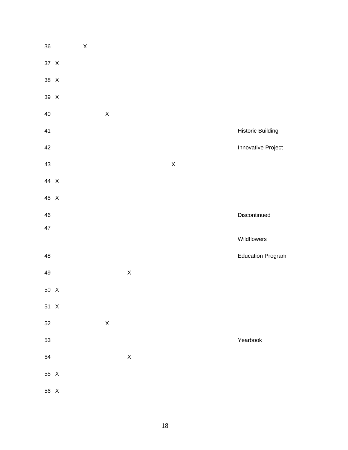| 36     | $\mathsf X$ |             |             |             |                          |
|--------|-------------|-------------|-------------|-------------|--------------------------|
| 37 X   |             |             |             |             |                          |
| 38 X   |             |             |             |             |                          |
| 39 X   |             |             |             |             |                          |
| 40     |             | $\mathsf X$ |             |             |                          |
| 41     |             |             |             |             | <b>Historic Building</b> |
| 42     |             |             |             |             | Innovative Project       |
| 43     |             |             |             | $\mathsf X$ |                          |
| 44 X   |             |             |             |             |                          |
| 45 X   |             |             |             |             |                          |
| 46     |             |             |             |             | Discontinued             |
| 47     |             |             |             |             | Wildflowers              |
|        |             |             |             |             |                          |
| 48     |             |             |             |             | <b>Education Program</b> |
| 49     |             |             | $\mathsf X$ |             |                          |
| 50 X   |             |             |             |             |                          |
| 51 X   |             |             |             |             |                          |
| $52\,$ |             | $\mathsf X$ |             |             |                          |
| 53     |             |             |             |             | Yearbook                 |
| 54     |             |             | $\mathsf X$ |             |                          |
| 55 X   |             |             |             |             |                          |
| 56 X   |             |             |             |             |                          |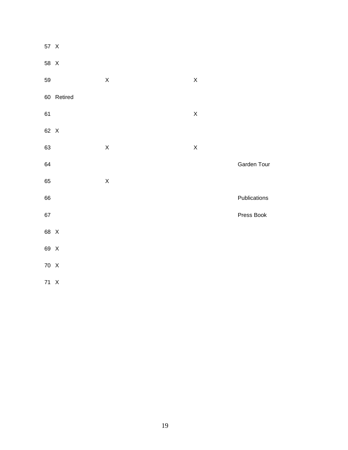| 57 X   |            |             |             |              |
|--------|------------|-------------|-------------|--------------|
| 58 X   |            |             |             |              |
| 59     |            | $\mathsf X$ | $\mathsf X$ |              |
|        | 60 Retired |             |             |              |
| 61     |            |             | $\mathsf X$ |              |
| 62 X   |            |             |             |              |
| 63     |            | $\mathsf X$ | $\mathsf X$ |              |
| 64     |            |             |             | Garden Tour  |
| 65     |            | $\mathsf X$ |             |              |
| 66     |            |             |             | Publications |
| $67\,$ |            |             |             | Press Book   |
| 68 X   |            |             |             |              |
| 69 X   |            |             |             |              |
| 70 X   |            |             |             |              |
| 71 X   |            |             |             |              |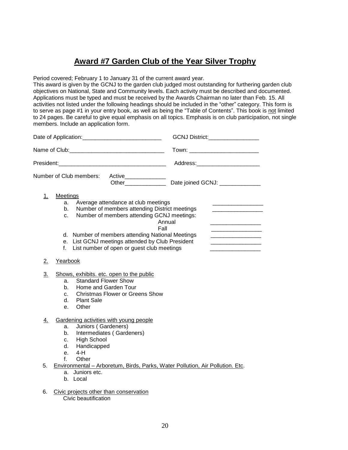# **Award #7 Garden Club of the Year Silver Trophy**

Period covered; February 1 to January 31 of the current award year.

This award is given by the GCNJ to the garden club judged most outstanding for furthering garden club objectives on National, State and Community levels. Each activity must be described and documented. Applications must be typed and must be received by the Awards Chairman no later than Feb. 15. All activities not listed under the following headings should be included in the "other" category. This form is to serve as page #1 in your entry book, as well as being the "Table of Contents". This book is not limited to 24 pages. Be careful to give equal emphasis on all topics. Emphasis is on club participation, not single members. Include an application form.

|           |                                                                                                                                                                                                                                                                                                                                                       | GCNJ District:_________________                                                                                                                                                                                                |
|-----------|-------------------------------------------------------------------------------------------------------------------------------------------------------------------------------------------------------------------------------------------------------------------------------------------------------------------------------------------------------|--------------------------------------------------------------------------------------------------------------------------------------------------------------------------------------------------------------------------------|
|           |                                                                                                                                                                                                                                                                                                                                                       | Town: ____________________________                                                                                                                                                                                             |
|           |                                                                                                                                                                                                                                                                                                                                                       | Address: Analysis and the state of the state of the state of the state of the state of the state of the state of the state of the state of the state of the state of the state of the state of the state of the state of the s |
|           | Number of Club members:<br>Active_______________<br>Other ______________                                                                                                                                                                                                                                                                              | Date joined GCNJ: ____________                                                                                                                                                                                                 |
| 1.        | <b>Meetings</b><br>Average attendance at club meetings<br>a.<br>Number of members attending District meetings<br>b.<br>Number of members attending GCNJ meetings:<br>c.<br>Annual<br>Fall<br>d. Number of members attending National Meetings<br>e. List GCNJ meetings attended by Club President<br>List number of open or guest club meetings<br>f. | the contract of the contract of the contract of the contract of<br>the contract of the contract of the contract of                                                                                                             |
| 2.        | Yearbook                                                                                                                                                                                                                                                                                                                                              |                                                                                                                                                                                                                                |
| 3.        | Shows, exhibits. etc. open to the public<br><b>Standard Flower Show</b><br>a.<br>Home and Garden Tour<br>b.<br><b>Christmas Flower or Greens Show</b><br>C.<br><b>Plant Sale</b><br>d.<br>Other<br>e.                                                                                                                                                 |                                                                                                                                                                                                                                |
| <u>4.</u> | Gardening activities with young people<br>Juniors (Gardeners)<br>a.<br>Intermediates (Gardeners)<br>b.<br><b>High School</b><br>c.<br>Handicapped<br>d.<br>$4-H$<br>e.<br>f<br>Other                                                                                                                                                                  |                                                                                                                                                                                                                                |
| 5.        | Environmental - Arboretum, Birds, Parks, Water Pollution, Air Pollution. Etc.<br>Juniors etc.<br>a.<br>b. Local                                                                                                                                                                                                                                       |                                                                                                                                                                                                                                |
| 6.        | Civic projects other than conservation                                                                                                                                                                                                                                                                                                                |                                                                                                                                                                                                                                |

Civic beautification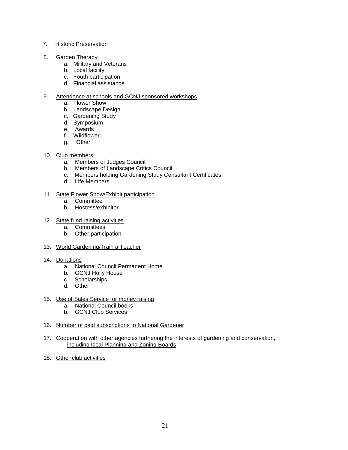#### 7. Historic Preservation

- 8. Garden Therapy
	- a. Military and Veterans
	- b. Local facility
	- c. Youth participation
	- d. Financial assistance

#### 9. Attendance at schools and GCNJ sponsored workshops

- a. Flower Show
- b. Landscape Design
- c. Gardening Study
- d. Symposium
- e. Awards
- f. . Wildflower
- g. Other
- 10. Club members
	- a. Members of Judges Council
	- b. Members of Landscape Critics Council
	- c. Members holding Gardening Study Consultant Certificates
	- d. Life Members

#### 11. State Flower Show/Exhibit participation

- a. Committee
- b. Hostess/exhibitor

#### 12. State fund raising activities

- a. Committees
- b. Other participation
- 13. World Gardening/Train a Teacher
- 14. Donations
	- a. National Council Permanent Home
	- b. GCNJ Holly House
	- c. Scholarships
	- d. Other
- 15. Use of Sales Service for money raising
	- a. National Council books
	- b. GCNJ Club Services
- 16. Number of paid subscriptions to National Gardener
- 17. Cooperation with other agencies furthering the interests of gardening and conservation, including local Planning and Zoning Boards
- 18. Other club activities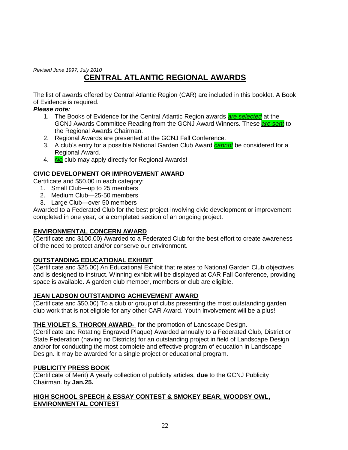*Revised June 1997, July 2010*

# **CENTRAL ATLANTIC REGIONAL AWARDS**

The list of awards offered by Central Atlantic Region (CAR) are included in this booklet. A Book of Evidence is required.

# *Please note:*

- 1. The Books of Evidence for the Central Atlantic Region awards *are selected* at the GCNJ Awards Committee Reading from the GCNJ Award Winners. These *are sent* to the Regional Awards Chairman.
- 2. Regional Awards are presented at the GCNJ Fall Conference.
- 3. A club's entry for a possible National Garden Club Award *cannot* be considered for a Regional Award.
- 4. *No* club may apply directly for Regional Awards!

# **CIVIC DEVELOPMENT OR IMPROVEMENT AWARD**

Certificate and \$50.00 in each category:

- 1. Small Club—up to 25 members
- 2. Medium Club—25-50 members
- 3. Large Club—over 50 members

Awarded to a Federated Club for the best project involving civic development or improvement completed in one year, or a completed section of an ongoing project.

# **ENVIRONMENTAL CONCERN AWARD**

(Certificate and \$100.00) Awarded to a Federated Club for the best effort to create awareness of the need to protect and/or conserve our environment.

# **OUTSTANDING EDUCATIONAL EXHIBIT**

(Certificate and \$25.00) An Educational Exhibit that relates to National Garden Club objectives and is designed to instruct. Winning exhibit will be displayed at CAR Fall Conference, providing space is available. A garden club member, members or club are eligible.

# **JEAN LADSON OUTSTANDING ACHIEVEMENT AWARD**

(Certificate and \$50.00) To a club or group of clubs presenting the most outstanding garden club work that is not eligible for any other CAR Award. Youth involvement will be a plus!

# **THE VIOLET S. THORON AWARD-** for the promotion of Landscape Design.

(Certificate and Rotating Engraved Plaque) Awarded annually to a Federated Club, District or State Federation (having no Districts) for an outstanding project in field of Landscape Design and/or for conducting the most complete and effective program of education in Landscape Design. It may be awarded for a single project or educational program.

### **PUBLICITY PRESS BOOK**

(Certificate of Merit) A yearly collection of publicity articles, **due** to the GCNJ Publicity Chairman. by **Jan.25.**

### **HIGH SCHOOL SPEECH & ESSAY CONTEST & SMOKEY BEAR, WOODSY OWL, ENVIRONMENTAL CONTEST**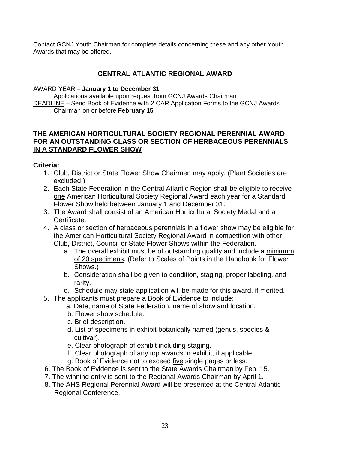Contact GCNJ Youth Chairman for complete details concerning these and any other Youth Awards that may be offered.

# **CENTRAL ATLANTIC REGIONAL AWARD**

# AWARD YEAR – **January 1 to December 31**

Applications available upon request from GCNJ Awards Chairman DEADLINE – Send Book of Evidence with 2 CAR Application Forms to the GCNJ Awards Chairman on or before **February 15**

# **THE AMERICAN HORTICULTURAL SOCIETY REGIONAL PERENNIAL AWARD FOR AN OUTSTANDING CLASS OR SECTION OF HERBACEOUS PERENNIALS IN A STANDARD FLOWER SHOW**

# **Criteria:**

- 1. Club, District or State Flower Show Chairmen may apply. (Plant Societies are excluded.)
- 2. Each State Federation in the Central Atlantic Region shall be eligible to receive one American Horticultural Society Regional Award each year for a Standard Flower Show held between January 1 and December 31.
- 3. The Award shall consist of an American Horticultural Society Medal and a Certificate.
- 4. A class or section of herbaceous perennials in a flower show may be eligible for the American Horticultural Society Regional Award in competition with other Club, District, Council or State Flower Shows within the Federation.
	- a. The overall exhibit must be of outstanding quality and include a minimum of 20 specimens. (Refer to Scales of Points in the Handbook for Flower Shows.)
	- b. Consideration shall be given to condition, staging, proper labeling, and rarity.
	- c. Schedule may state application will be made for this award, if merited.
- 5. The applicants must prepare a Book of Evidence to include:
	- a. Date, name of State Federation, name of show and location.
		- b. Flower show schedule.
		- c. Brief description.
		- d. List of specimens in exhibit botanically named (genus, species & cultivar).
		- e. Clear photograph of exhibit including staging.
		- f. Clear photograph of any top awards in exhibit, if applicable.
		- g. Book of Evidence not to exceed five single pages or less.
- 6. The Book of Evidence is sent to the State Awards Chairman by Feb. 15.
- 7. The winning entry is sent to the Regional Awards Chairman by April 1.
- 8. The AHS Regional Perennial Award will be presented at the Central Atlantic Regional Conference.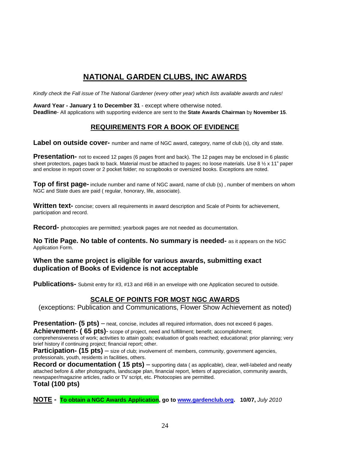# **NATIONAL GARDEN CLUBS, INC AWARDS**

*Kindly check the Fall issue of The National Gardener (every other year) which lists available awards and rules!* 

**Award Year - January 1 to December 31** - except where otherwise noted.

**Deadline**- All applications with supporting evidence are sent to the **State Awards Chairman** by **November 15**.

# **REQUIREMENTS FOR A BOOK OF EVIDENCE**

**Label on outside cover-** number and name of NGC award, category, name of club (s), city and state.

**Presentation-** not to exceed 12 pages (6 pages front and back). The 12 pages may be enclosed in 6 plastic sheet protectors, pages back to back. Material must be attached to pages; no loose materials. Use 8  $\frac{1}{2}$  x 11" paper and enclose in report cover or 2 pocket folder; no scrapbooks or oversized books. Exceptions are noted.

**Top of first page-** include number and name of NGC award, name of club (s) , number of members on whom NGC and State dues are paid ( regular, honorary, life, associate).

**Written text-** concise; covers all requirements in award description and Scale of Points for achievement, participation and record.

**Record-** photocopies are permitted; yearbook pages are not needed as documentation.

**No Title Page. No table of contents. No summary is needed-** as it appears on the NGC Application Form.

#### **When the same project is eligible for various awards, submitting exact duplication of Books of Evidence is not acceptable**

Publications- Submit entry for #3, #13 and #68 in an envelope with one Application secured to outside.

# **SCALE OF POINTS FOR MOST NGC AWARDS**

(exceptions: Publication and Communications, Flower Show Achievement as noted)

**Presentation- (5 pts)** – neat, concise, includes all required information, does not exceed 6 pages.

**Achievement- ( 65 pts)**- scope of project, need and fulfillment; benefit; accomplishment;

comprehensiveness of work; activities to attain goals; evaluation of goals reached; educational; prior planning; very brief history if continuing project; financial report; other.

Participation- (15 pts) - size of club; involvement of: members, community, government agencies, professionals, youth, residents in facilities, others.

**Record or documentation (15 pts)** – supporting data (as applicable), clear, well-labeled and neatly attached before & after photographs, landscape plan, financial report, letters of appreciation, community awards, newspaper/magazine articles, radio or TV script, etc. Photocopies are permitted.

### **Total (100 pts)**

**NOTE - To obtain a NGC Awards Application, go to [www.gardenclub.org.](http://www.gardenclub.org/) 10/07,** *July 2010*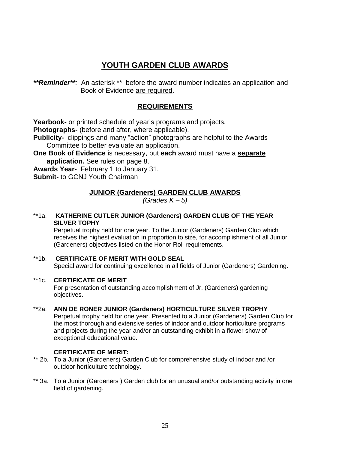# **YOUTH GARDEN CLUB AWARDS**

*\*\*Reminder\*\*:* An asterisk \*\* before the award number indicates an application and Book of Evidence are required.

# **REQUIREMENTS**

**Yearbook-** or printed schedule of year's programs and projects.

**Photographs-** (before and after, where applicable).

**Publicity-** clippings and many "action" photographs are helpful to the Awards Committee to better evaluate an application.

**One Book of Evidence** is necessary, but **each** award must have a **separate application.** See rules on page 8.

**Awards Year-** February 1 to January 31.

**Submit-** to GCNJ Youth Chairman

# **JUNIOR (Gardeners) GARDEN CLUB AWARDS**

*(Grades K – 5)*

### \*\*1a. **KATHERINE CUTLER JUNIOR (Gardeners) GARDEN CLUB OF THE YEAR SILVER TOPHY**

Perpetual trophy held for one year. To the Junior (Gardeners) Garden Club which receives the highest evaluation in proportion to size, for accomplishment of all Junior (Gardeners) objectives listed on the Honor Roll requirements.

# \*\*1b. **CERTIFICATE OF MERIT WITH GOLD SEAL**  Special award for continuing excellence in all fields of Junior (Gardeners) Gardening.

### \*\*1c. **CERTIFICATE OF MERIT**

For presentation of outstanding accomplishment of Jr. (Gardeners) gardening objectives.

### \*\*2a. **ANN DE RONER JUNIOR (Gardeners) HORTICULTURE SILVER TROPHY**

Perpetual trophy held for one year. Presented to a Junior (Gardeners) Garden Club for the most thorough and extensive series of indoor and outdoor horticulture programs and projects during the year and/or an outstanding exhibit in a flower show of exceptional educational value.

### **CERTIFICATE OF MERIT:**

- \*\* 2b. To a Junior (Gardeners) Garden Club for comprehensive study of indoor and /or outdoor horticulture technology.
- \*\* 3a. To a Junior (Gardeners) Garden club for an unusual and/or outstanding activity in one field of gardening.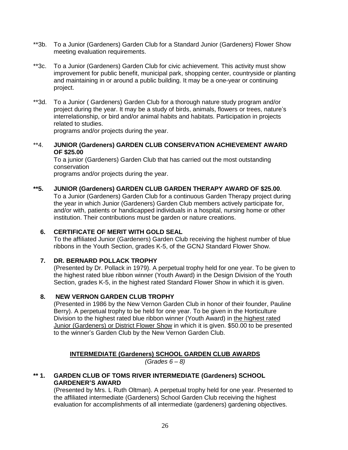- \*\*3b. To a Junior (Gardeners) Garden Club for a Standard Junior (Gardeners) Flower Show meeting evaluation requirements.
- \*\*3c. To a Junior (Gardeners) Garden Club for civic achievement. This activity must show improvement for public benefit, municipal park, shopping center, countryside or planting and maintaining in or around a public building. It may be a one-year or continuing project.
- \*\*3d. To a Junior ( Gardeners) Garden Club for a thorough nature study program and/or project during the year. It may be a study of birds, animals, flowers or trees, nature's interrelationship, or bird and/or animal habits and habitats. Participation in projects related to studies.

programs and/or projects during the year.

#### \*\*4. **JUNIOR (Gardeners) GARDEN CLUB CONSERVATION ACHIEVEMENT AWARD OF \$25.00**

To a junior (Gardeners) Garden Club that has carried out the most outstanding conservation

programs and/or projects during the year.

# **\*\*5. JUNIOR (Gardeners) GARDEN CLUB GARDEN THERAPY AWARD OF \$25.00**.

To a Junior (Gardeners) Garden Club for a continuous Garden Therapy project during the year in which Junior (Gardeners) Garden Club members actively participate for, and/or with, patients or handicapped individuals in a hospital, nursing home or other institution. Their contributions must be garden or nature creations.

# **6. CERTIFICATE OF MERIT WITH GOLD SEAL**

To the affiliated Junior (Gardeners) Garden Club receiving the highest number of blue ribbons in the Youth Section, grades K-5, of the GCNJ Standard Flower Show.

### **7. DR. BERNARD POLLACK TROPHY**

(Presented by Dr. Pollack in 1979). A perpetual trophy held for one year. To be given to the highest rated blue ribbon winner (Youth Award) in the Design Division of the Youth Section, grades K-5, in the highest rated Standard Flower Show in which it is given.

### **8. NEW VERNON GARDEN CLUB TROPHY**

(Presented in 1986 by the New Vernon Garden Club in honor of their founder, Pauline Berry). A perpetual trophy to be held for one year. To be given in the Horticulture Division to the highest rated blue ribbon winner (Youth Award) in the highest rated Junior (Gardeners) or District Flower Show in which it is given. \$50.00 to be presented to the winner's Garden Club by the New Vernon Garden Club.

# **INTERMEDIATE (Gardeners) SCHOOL GARDEN CLUB AWARDS**

*(Grades 6 – 8)*

# **\*\* 1. GARDEN CLUB OF TOMS RIVER INTERMEDIATE (Gardeners) SCHOOL GARDENER'S AWARD**

(Presented by Mrs. L Ruth Oltman). A perpetual trophy held for one year. Presented to the affiliated intermediate (Gardeners) School Garden Club receiving the highest evaluation for accomplishments of all intermediate (gardeners) gardening objectives.